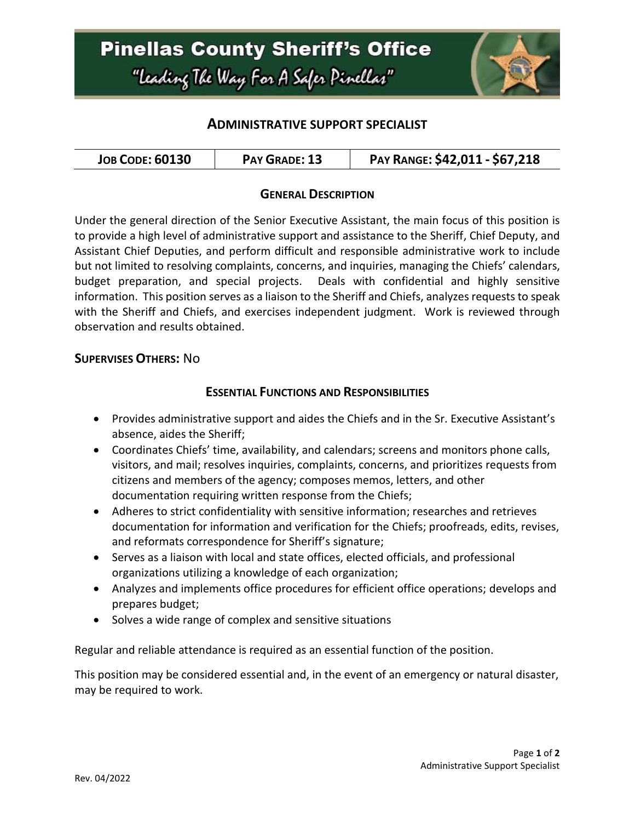

### **ADMINISTRATIVE SUPPORT SPECIALIST**

### **GENERAL DESCRIPTION**

Under the general direction of the Senior Executive Assistant, the main focus of this position is to provide a high level of administrative support and assistance to the Sheriff, Chief Deputy, and Assistant Chief Deputies, and perform difficult and responsible administrative work to include but not limited to resolving complaints, concerns, and inquiries, managing the Chiefs' calendars, budget preparation, and special projects. Deals with confidential and highly sensitive information. This position serves as a liaison to the Sheriff and Chiefs, analyzes requests to speak with the Sheriff and Chiefs, and exercises independent judgment. Work is reviewed through observation and results obtained.

### **SUPERVISES OTHERS:** No

#### **ESSENTIAL FUNCTIONS AND RESPONSIBILITIES**

- Provides administrative support and aides the Chiefs and in the Sr. Executive Assistant's absence, aides the Sheriff;
- Coordinates Chiefs' time, availability, and calendars; screens and monitors phone calls, visitors, and mail; resolves inquiries, complaints, concerns, and prioritizes requests from citizens and members of the agency; composes memos, letters, and other documentation requiring written response from the Chiefs;
- Adheres to strict confidentiality with sensitive information; researches and retrieves documentation for information and verification for the Chiefs; proofreads, edits, revises, and reformats correspondence for Sheriff's signature;
- Serves as a liaison with local and state offices, elected officials, and professional organizations utilizing a knowledge of each organization;
- Analyzes and implements office procedures for efficient office operations; develops and prepares budget;
- Solves a wide range of complex and sensitive situations

Regular and reliable attendance is required as an essential function of the position.

This position may be considered essential and, in the event of an emergency or natural disaster, may be required to work.